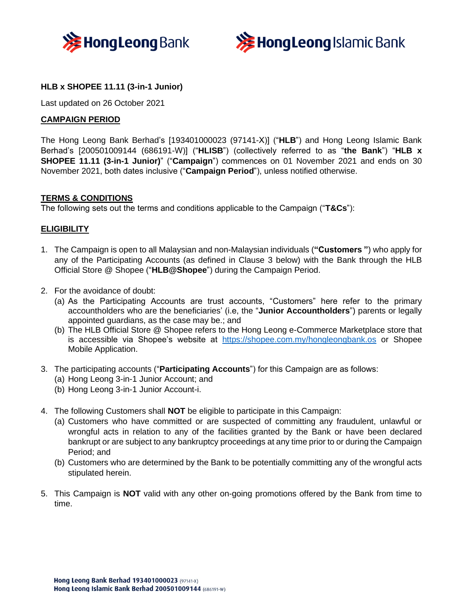



# **HLB x SHOPEE 11.11 (3-in-1 Junior)**

Last updated on 26 October 2021

## **CAMPAIGN PERIOD**

The Hong Leong Bank Berhad's [193401000023 (97141-X)] ("**HLB**") and Hong Leong Islamic Bank Berhad's [200501009144 (686191-W)] ("**HLISB**") (collectively referred to as "**the Bank**") "**HLB x SHOPEE 11.11 (3-in-1 Junior)**" ("**Campaign**") commences on 01 November 2021 and ends on 30 November 2021, both dates inclusive ("**Campaign Period**"), unless notified otherwise.

### **TERMS & CONDITIONS**

The following sets out the terms and conditions applicable to the Campaign ("**T&Cs**"):

### **ELIGIBILITY**

- 1. The Campaign is open to all Malaysian and non-Malaysian individuals (**"Customers "**) who apply for any of the Participating Accounts (as defined in Clause 3 below) with the Bank through the HLB Official Store @ Shopee ("**HLB@Shopee**") during the Campaign Period.
- 2. For the avoidance of doubt:
	- (a) As the Participating Accounts are trust accounts, "Customers" here refer to the primary accountholders who are the beneficiaries' (i.e, the "**Junior Accountholders**") parents or legally appointed guardians, as the case may be.; and
	- (b) The HLB Official Store @ Shopee refers to the Hong Leong e-Commerce Marketplace store that is accessible via Shopee's website at <https://shopee.com.my/hongleongbank.os> or Shopee Mobile Application.
- 3. The participating accounts ("**Participating Accounts**") for this Campaign are as follows:
	- (a) Hong Leong 3-in-1 Junior Account; and
	- (b) Hong Leong 3-in-1 Junior Account-i.
- 4. The following Customers shall **NOT** be eligible to participate in this Campaign:
	- (a) Customers who have committed or are suspected of committing any fraudulent, unlawful or wrongful acts in relation to any of the facilities granted by the Bank or have been declared bankrupt or are subject to any bankruptcy proceedings at any time prior to or during the Campaign Period; and
	- (b) Customers who are determined by the Bank to be potentially committing any of the wrongful acts stipulated herein.
- 5. This Campaign is **NOT** valid with any other on-going promotions offered by the Bank from time to time.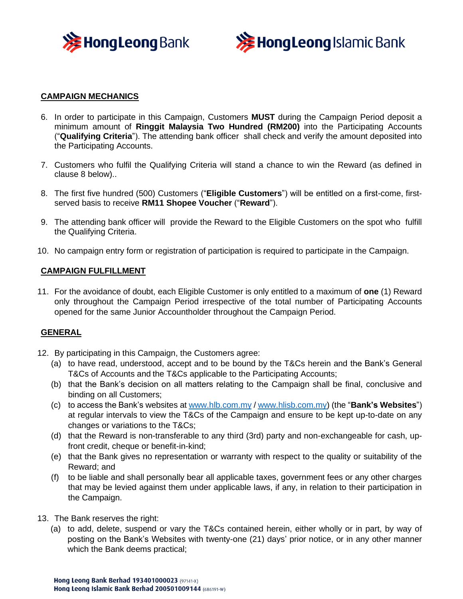



## **CAMPAIGN MECHANICS**

- 6. In order to participate in this Campaign, Customers **MUST** during the Campaign Period deposit a minimum amount of **Ringgit Malaysia Two Hundred (RM200)** into the Participating Accounts ("**Qualifying Criteria**"). The attending bank officer shall check and verify the amount deposited into the Participating Accounts.
- 7. Customers who fulfil the Qualifying Criteria will stand a chance to win the Reward (as defined in clause 8 below)..
- 8. The first five hundred (500) Customers ("**Eligible Customers**") will be entitled on a first-come, firstserved basis to receive **RM11 Shopee Voucher** ("**Reward**").
- 9. The attending bank officer will provide the Reward to the Eligible Customers on the spot who fulfill the Qualifying Criteria.
- 10. No campaign entry form or registration of participation is required to participate in the Campaign.

#### **CAMPAIGN FULFILLMENT**

11. For the avoidance of doubt, each Eligible Customer is only entitled to a maximum of **one** (1) Reward only throughout the Campaign Period irrespective of the total number of Participating Accounts opened for the same Junior Accountholder throughout the Campaign Period.

#### **GENERAL**

- 12. By participating in this Campaign, the Customers agree:
	- (a) to have read, understood, accept and to be bound by the T&Cs herein and the Bank's General T&Cs of Accounts and the T&Cs applicable to the Participating Accounts;
	- (b) that the Bank's decision on all matters relating to the Campaign shall be final, conclusive and binding on all Customers;
	- (c) to access the Bank's websites a[t www.hlb.com.my](http://www.hlb.com.my/) / [www.hlisb.com.my\)](http://www.hlisb.com.my/) (the "**Bank's Websites**") at regular intervals to view the T&Cs of the Campaign and ensure to be kept up-to-date on any changes or variations to the T&Cs;
	- (d) that the Reward is non-transferable to any third (3rd) party and non-exchangeable for cash, upfront credit, cheque or benefit-in-kind;
	- (e) that the Bank gives no representation or warranty with respect to the quality or suitability of the Reward; and
	- (f) to be liable and shall personally bear all applicable taxes, government fees or any other charges that may be levied against them under applicable laws, if any, in relation to their participation in the Campaign.
- 13. The Bank reserves the right:
	- (a) to add, delete, suspend or vary the T&Cs contained herein, either wholly or in part, by way of posting on the Bank's Websites with twenty-one (21) days' prior notice, or in any other manner which the Bank deems practical;